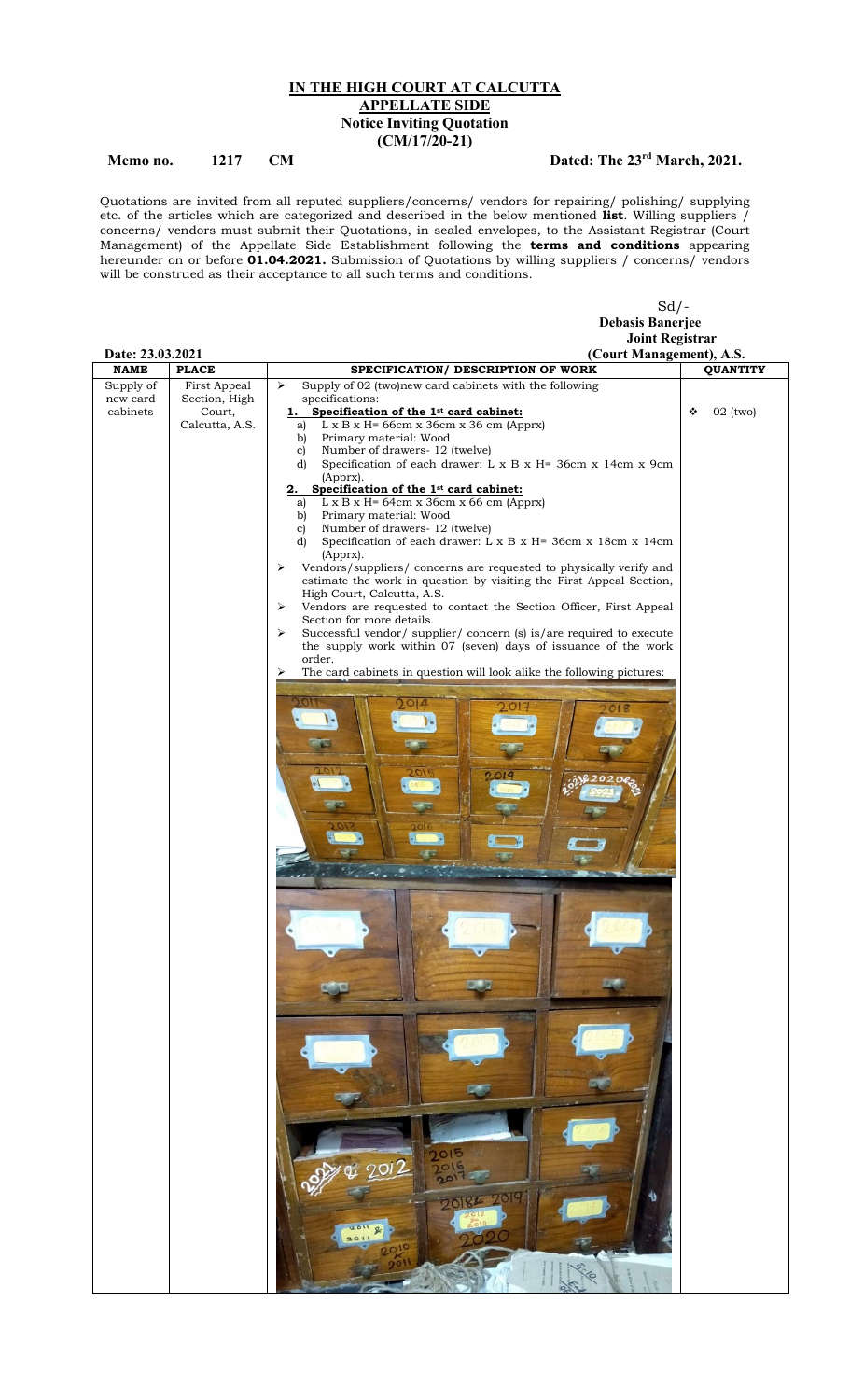## IN THE HIGH COURT AT CALCUTTA APPELLATE SIDE Notice Inviting Quotation (CM/17/20-21)

## Memo no. 1217 CM Dated: The 23<sup>rd</sup> March, 2021.

Quotations are invited from all reputed suppliers/concerns/ vendors for repairing/ polishing/ supplying etc. of the articles which are categorized and described in the below mentioned **list**. Willing suppliers / concerns/ vendors must submit their Quotations, in sealed envelopes, to the Assistant Registrar (Court Management) of the Appellate Side Establishment following the **terms and conditions** appearing hereunder on or before **01.04.2021.** Submission of Quotations by willing suppliers / concerns/ vendors will be construed as their acceptance to all such terms and conditions.

|                                 |                               | $Sd$ /-                                                                                                               |                 |
|---------------------------------|-------------------------------|-----------------------------------------------------------------------------------------------------------------------|-----------------|
|                                 |                               | <b>Debasis Banerjee</b>                                                                                               |                 |
|                                 |                               | <b>Joint Registrar</b>                                                                                                |                 |
| Date: 23.03.2021<br><b>NAME</b> | <b>PLACE</b>                  | (Court Management), A.S.<br>SPECIFICATION/ DESCRIPTION OF WORK                                                        |                 |
|                                 |                               |                                                                                                                       | <b>QUANTITY</b> |
| Supply of<br>new card           | First Appeal<br>Section, High | Supply of 02 (two)new card cabinets with the following<br>➤<br>specifications:                                        |                 |
| cabinets                        | Court,                        | 1. Specification of the 1st card cabinet:                                                                             | 02 (two)<br>❖   |
|                                 | Calcutta, A.S.                | $L \times B \times H = 66cm \times 36cm \times 36cm$ (Apprx)<br>a)                                                    |                 |
|                                 |                               | Primary material: Wood<br>b)<br>Number of drawers- 12 (twelve)<br>$\mathbf{c}$                                        |                 |
|                                 |                               | Specification of each drawer: L x B x H= 36cm x 14cm x 9cm<br>d)                                                      |                 |
|                                 |                               | (Apprx).                                                                                                              |                 |
|                                 |                               | 2. Specification of the 1 <sup>st</sup> card cabinet:<br>$L \times B \times H = 64cm \times 36cm \times 66cm$ (Apprx) |                 |
|                                 |                               | a)<br>Primary material: Wood<br>b)                                                                                    |                 |
|                                 |                               | Number of drawers- 12 (twelve)<br>$\mathbf{c}$                                                                        |                 |
|                                 |                               | Specification of each drawer: L x B x H= 36cm x 18cm x 14cm<br>d)                                                     |                 |
|                                 |                               | (Apprx).<br>Vendors/suppliers/ concerns are requested to physically verify and<br>⋗                                   |                 |
|                                 |                               | estimate the work in question by visiting the First Appeal Section,                                                   |                 |
|                                 |                               | High Court, Calcutta, A.S.                                                                                            |                 |
|                                 |                               | Vendors are requested to contact the Section Officer, First Appeal<br>➤<br>Section for more details.                  |                 |
|                                 |                               | Successful vendor/ supplier/ concern (s) is/are required to execute<br>➤                                              |                 |
|                                 |                               | the supply work within 07 (seven) days of issuance of the work                                                        |                 |
|                                 |                               | order.                                                                                                                |                 |
|                                 |                               | The card cabinets in question will look alike the following pictures:<br>⋗                                            |                 |
|                                 |                               |                                                                                                                       |                 |
|                                 |                               |                                                                                                                       |                 |
|                                 |                               |                                                                                                                       |                 |
|                                 |                               |                                                                                                                       |                 |
|                                 |                               |                                                                                                                       |                 |
|                                 |                               |                                                                                                                       |                 |
|                                 |                               |                                                                                                                       |                 |
|                                 |                               |                                                                                                                       |                 |
|                                 |                               |                                                                                                                       |                 |
|                                 |                               |                                                                                                                       |                 |
|                                 |                               |                                                                                                                       |                 |
|                                 |                               |                                                                                                                       |                 |
|                                 |                               |                                                                                                                       |                 |
|                                 |                               |                                                                                                                       |                 |
|                                 |                               |                                                                                                                       |                 |
|                                 |                               |                                                                                                                       |                 |
|                                 |                               |                                                                                                                       |                 |
|                                 |                               |                                                                                                                       |                 |
|                                 |                               |                                                                                                                       |                 |
|                                 |                               |                                                                                                                       |                 |
|                                 |                               |                                                                                                                       |                 |
|                                 |                               |                                                                                                                       |                 |
|                                 |                               |                                                                                                                       |                 |
|                                 |                               |                                                                                                                       |                 |
|                                 |                               |                                                                                                                       |                 |
|                                 |                               |                                                                                                                       |                 |
|                                 |                               |                                                                                                                       |                 |
|                                 |                               | 2015                                                                                                                  |                 |
|                                 |                               | $\overline{u}$ 2012<br>7016<br>$20^{17}$                                                                              |                 |
|                                 |                               |                                                                                                                       |                 |
|                                 |                               | 20 <sup>c</sup><br>20186                                                                                              |                 |
|                                 |                               |                                                                                                                       |                 |
|                                 |                               | 2011<br>2011                                                                                                          |                 |
|                                 |                               |                                                                                                                       |                 |
|                                 |                               |                                                                                                                       |                 |
|                                 |                               |                                                                                                                       |                 |